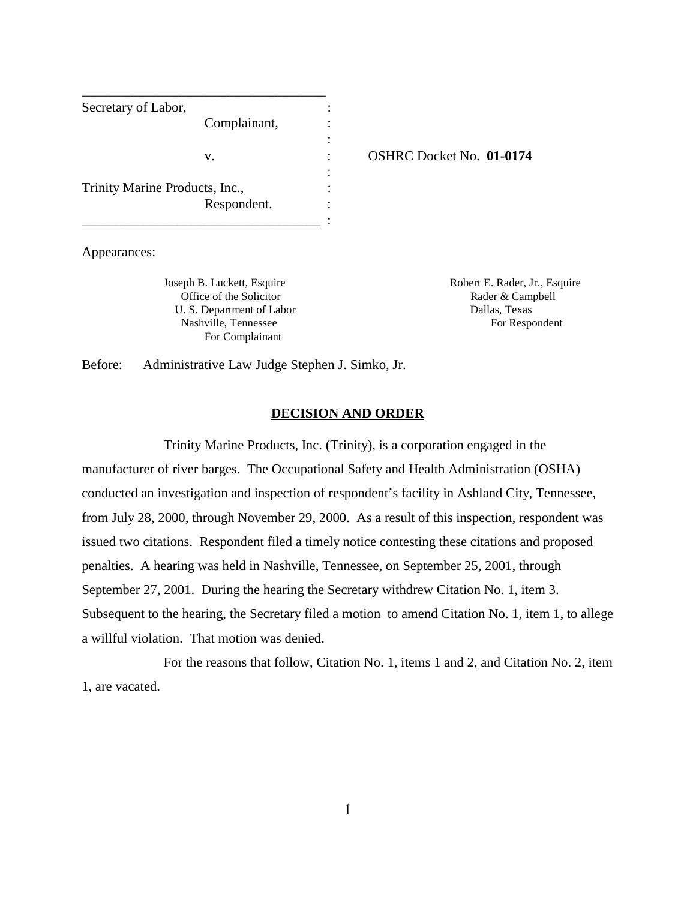| Secretary of Labor,            |              |  |
|--------------------------------|--------------|--|
|                                | Complainant, |  |
|                                |              |  |
|                                | V.           |  |
| Trinity Marine Products, Inc., |              |  |
|                                |              |  |
|                                | Respondent.  |  |
|                                |              |  |

v. : OSHRC Docket No. **01-0174** 

Appearances:

Joseph B. Luckett, Esquire Robert E. Rader, Jr., Esquire Office of the Solicitor **Rader & Campbell** U. S. Department of Labor Dallas, Texas Nashville, Tennessee For Respondent For Complainant

Before: Administrative Law Judge Stephen J. Simko, Jr.

### **DECISION AND ORDER**

Trinity Marine Products, Inc. (Trinity), is a corporation engaged in the manufacturer of river barges. The Occupational Safety and Health Administration (OSHA) conducted an investigation and inspection of respondent's facility in Ashland City, Tennessee, from July 28, 2000, through November 29, 2000. As a result of this inspection, respondent was issued two citations. Respondent filed a timely notice contesting these citations and proposed penalties. A hearing was held in Nashville, Tennessee, on September 25, 2001, through September 27, 2001. During the hearing the Secretary withdrew Citation No. 1, item 3. Subsequent to the hearing, the Secretary filed a motion to amend Citation No. 1, item 1, to allege a willful violation. That motion was denied.

For the reasons that follow, Citation No. 1, items 1 and 2, and Citation No. 2, item 1, are vacated.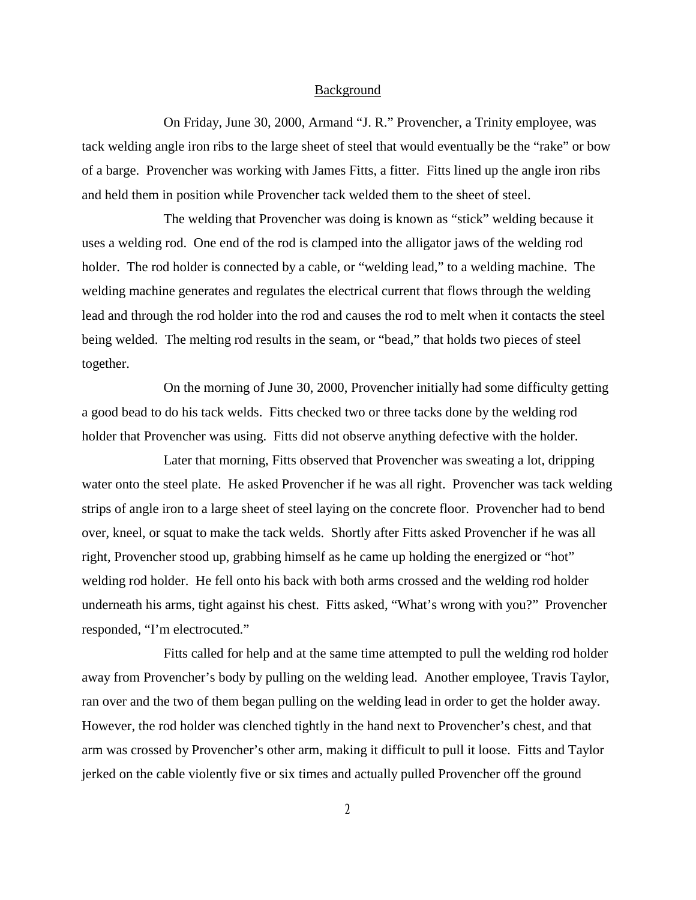#### Background

On Friday, June 30, 2000, Armand "J. R." Provencher, a Trinity employee, was tack welding angle iron ribs to the large sheet of steel that would eventually be the "rake" or bow of a barge. Provencher was working with James Fitts, a fitter. Fitts lined up the angle iron ribs and held them in position while Provencher tack welded them to the sheet of steel.

The welding that Provencher was doing is known as "stick" welding because it uses a welding rod. One end of the rod is clamped into the alligator jaws of the welding rod holder. The rod holder is connected by a cable, or "welding lead," to a welding machine. The welding machine generates and regulates the electrical current that flows through the welding lead and through the rod holder into the rod and causes the rod to melt when it contacts the steel being welded. The melting rod results in the seam, or "bead," that holds two pieces of steel together.

On the morning of June 30, 2000, Provencher initially had some difficulty getting a good bead to do his tack welds. Fitts checked two or three tacks done by the welding rod holder that Provencher was using. Fitts did not observe anything defective with the holder.

Later that morning, Fitts observed that Provencher was sweating a lot, dripping water onto the steel plate. He asked Provencher if he was all right. Provencher was tack welding strips of angle iron to a large sheet of steel laying on the concrete floor. Provencher had to bend over, kneel, or squat to make the tack welds. Shortly after Fitts asked Provencher if he was all right, Provencher stood up, grabbing himself as he came up holding the energized or "hot" welding rod holder. He fell onto his back with both arms crossed and the welding rod holder underneath his arms, tight against his chest. Fitts asked, "What's wrong with you?" Provencher responded, "I'm electrocuted."

Fitts called for help and at the same time attempted to pull the welding rod holder away from Provencher's body by pulling on the welding lead. Another employee, Travis Taylor, ran over and the two of them began pulling on the welding lead in order to get the holder away. However, the rod holder was clenched tightly in the hand next to Provencher's chest, and that arm was crossed by Provencher's other arm, making it difficult to pull it loose. Fitts and Taylor jerked on the cable violently five or six times and actually pulled Provencher off the ground

**2**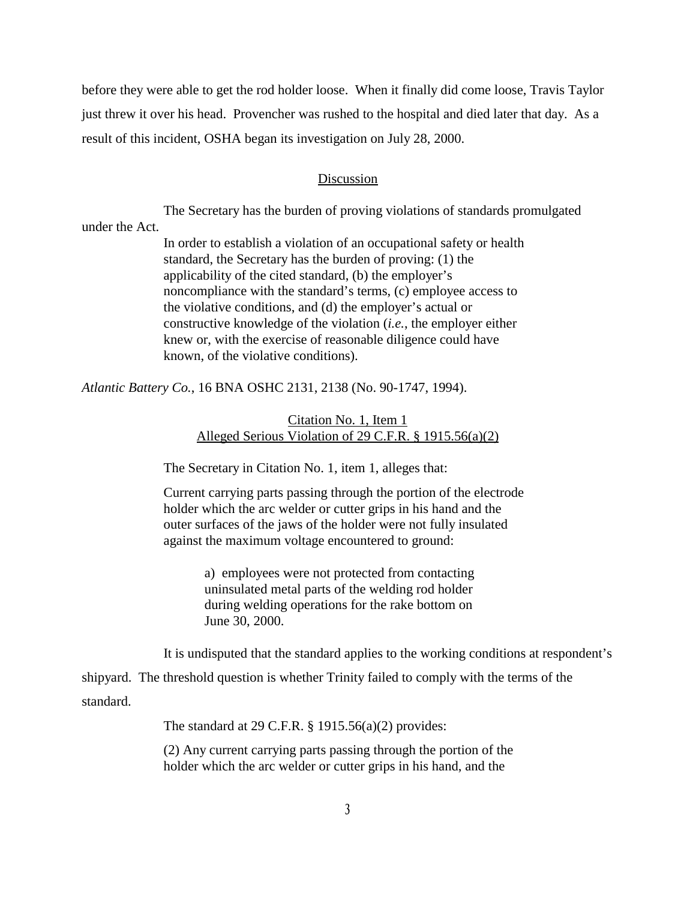before they were able to get the rod holder loose. When it finally did come loose, Travis Taylor just threw it over his head. Provencher was rushed to the hospital and died later that day. As a result of this incident, OSHA began its investigation on July 28, 2000.

### Discussion

The Secretary has the burden of proving violations of standards promulgated under the Act.

> In order to establish a violation of an occupational safety or health standard, the Secretary has the burden of proving: (1) the applicability of the cited standard, (b) the employer's noncompliance with the standard's terms, (c) employee access to the violative conditions, and (d) the employer's actual or constructive knowledge of the violation (*i.e.*, the employer either knew or, with the exercise of reasonable diligence could have known, of the violative conditions).

*Atlantic Battery Co.*, 16 BNA OSHC 2131, 2138 (No. 90-1747, 1994).

## Citation No. 1, Item 1 Alleged Serious Violation of 29 C.F.R. § 1915.56(a)(2)

The Secretary in Citation No. 1, item 1, alleges that:

Current carrying parts passing through the portion of the electrode holder which the arc welder or cutter grips in his hand and the outer surfaces of the jaws of the holder were not fully insulated against the maximum voltage encountered to ground:

> a) employees were not protected from contacting uninsulated metal parts of the welding rod holder during welding operations for the rake bottom on June 30, 2000.

It is undisputed that the standard applies to the working conditions at respondent's

shipyard. The threshold question is whether Trinity failed to comply with the terms of the standard.

The standard at 29 C.F.R. § 1915.56(a)(2) provides:

(2) Any current carrying parts passing through the portion of the holder which the arc welder or cutter grips in his hand, and the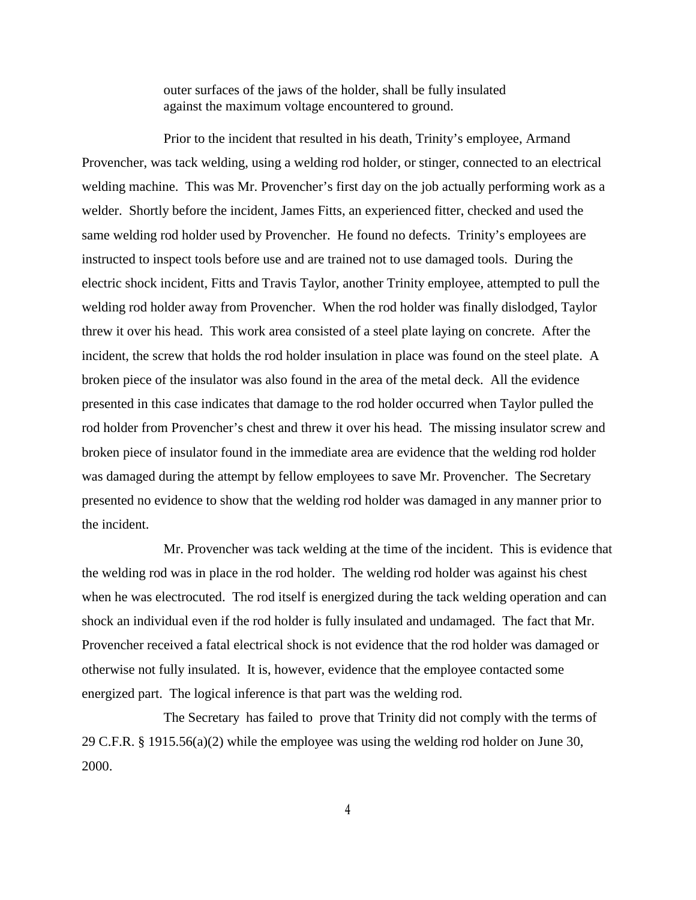outer surfaces of the jaws of the holder, shall be fully insulated against the maximum voltage encountered to ground.

Prior to the incident that resulted in his death, Trinity's employee, Armand Provencher, was tack welding, using a welding rod holder, or stinger, connected to an electrical welding machine. This was Mr. Provencher's first day on the job actually performing work as a welder. Shortly before the incident, James Fitts, an experienced fitter, checked and used the same welding rod holder used by Provencher. He found no defects. Trinity's employees are instructed to inspect tools before use and are trained not to use damaged tools. During the electric shock incident, Fitts and Travis Taylor, another Trinity employee, attempted to pull the welding rod holder away from Provencher. When the rod holder was finally dislodged, Taylor threw it over his head. This work area consisted of a steel plate laying on concrete. After the incident, the screw that holds the rod holder insulation in place was found on the steel plate. A broken piece of the insulator was also found in the area of the metal deck. All the evidence presented in this case indicates that damage to the rod holder occurred when Taylor pulled the rod holder from Provencher's chest and threw it over his head. The missing insulator screw and broken piece of insulator found in the immediate area are evidence that the welding rod holder was damaged during the attempt by fellow employees to save Mr. Provencher. The Secretary presented no evidence to show that the welding rod holder was damaged in any manner prior to the incident.

Mr. Provencher was tack welding at the time of the incident. This is evidence that the welding rod was in place in the rod holder. The welding rod holder was against his chest when he was electrocuted. The rod itself is energized during the tack welding operation and can shock an individual even if the rod holder is fully insulated and undamaged. The fact that Mr. Provencher received a fatal electrical shock is not evidence that the rod holder was damaged or otherwise not fully insulated. It is, however, evidence that the employee contacted some energized part. The logical inference is that part was the welding rod.

The Secretary has failed to prove that Trinity did not comply with the terms of 29 C.F.R. § 1915.56(a)(2) while the employee was using the welding rod holder on June 30, 2000.

**4**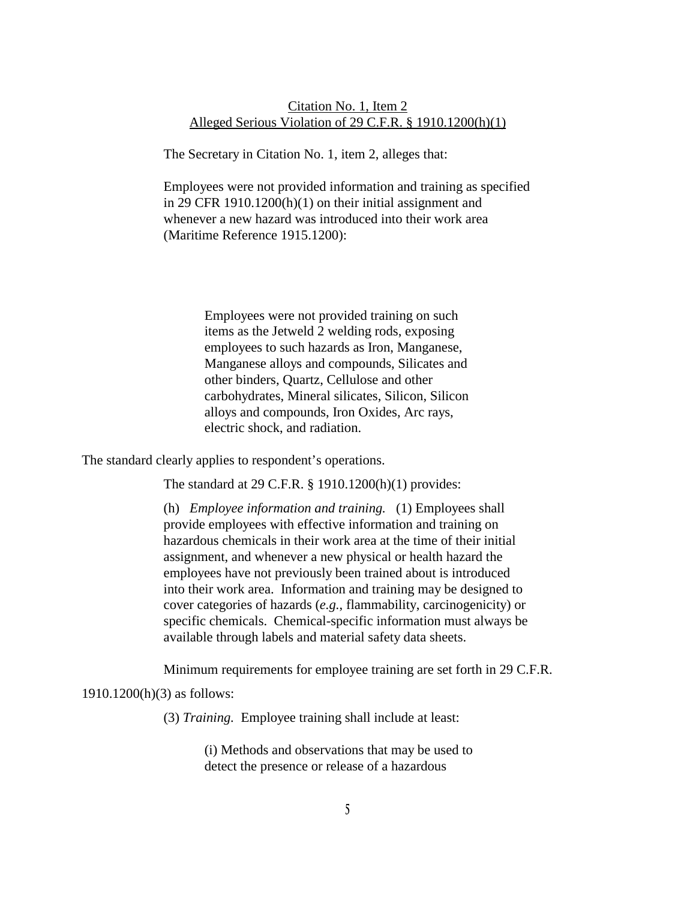## Citation No. 1, Item 2 Alleged Serious Violation of 29 C.F.R. § 1910.1200(h)(1)

The Secretary in Citation No. 1, item 2, alleges that:

Employees were not provided information and training as specified in 29 CFR 1910.1200(h)(1) on their initial assignment and whenever a new hazard was introduced into their work area (Maritime Reference 1915.1200):

> Employees were not provided training on such items as the Jetweld 2 welding rods, exposing employees to such hazards as Iron, Manganese, Manganese alloys and compounds, Silicates and other binders, Quartz, Cellulose and other carbohydrates, Mineral silicates, Silicon, Silicon alloys and compounds, Iron Oxides, Arc rays, electric shock, and radiation.

The standard clearly applies to respondent's operations.

The standard at 29 C.F.R. § 1910.1200(h)(1) provides:

(h) *Employee information and training.* (1) Employees shall provide employees with effective information and training on hazardous chemicals in their work area at the time of their initial assignment, and whenever a new physical or health hazard the employees have not previously been trained about is introduced into their work area. Information and training may be designed to cover categories of hazards (*e.g.*, flammability, carcinogenicity) or specific chemicals. Chemical-specific information must always be available through labels and material safety data sheets.

Minimum requirements for employee training are set forth in 29 C.F.R.

1910.1200(h)(3) as follows:

(3) *Training.* Employee training shall include at least:

(i) Methods and observations that may be used to detect the presence or release of a hazardous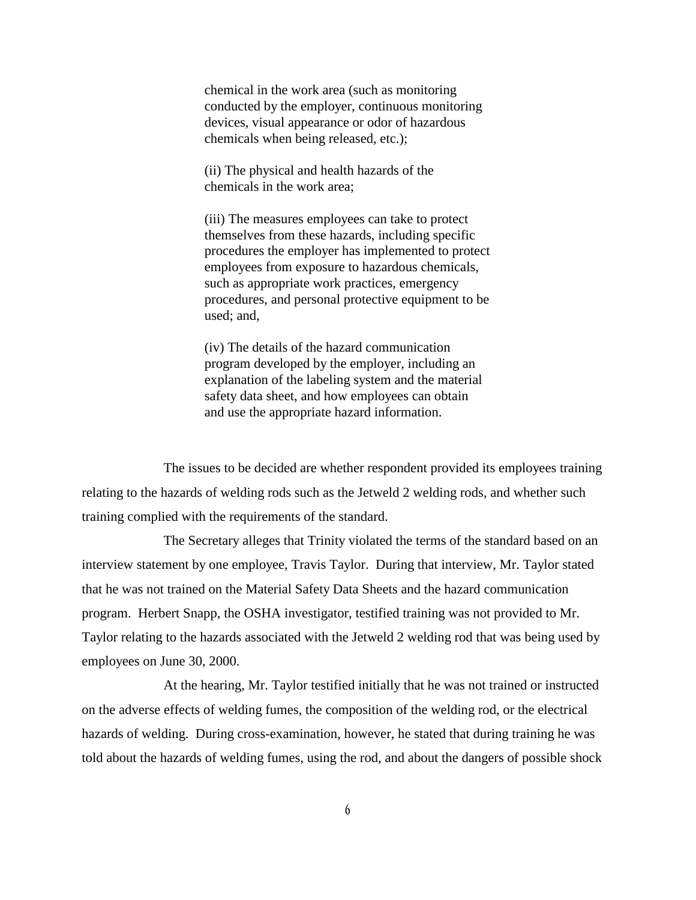chemical in the work area (such as monitoring conducted by the employer, continuous monitoring devices, visual appearance or odor of hazardous chemicals when being released, etc.);

(ii) The physical and health hazards of the chemicals in the work area;

(iii) The measures employees can take to protect themselves from these hazards, including specific procedures the employer has implemented to protect employees from exposure to hazardous chemicals, such as appropriate work practices, emergency procedures, and personal protective equipment to be used; and,

(iv) The details of the hazard communication program developed by the employer, including an explanation of the labeling system and the material safety data sheet, and how employees can obtain and use the appropriate hazard information.

The issues to be decided are whether respondent provided its employees training relating to the hazards of welding rods such as the Jetweld 2 welding rods, and whether such training complied with the requirements of the standard.

The Secretary alleges that Trinity violated the terms of the standard based on an interview statement by one employee, Travis Taylor. During that interview, Mr. Taylor stated that he was not trained on the Material Safety Data Sheets and the hazard communication program. Herbert Snapp, the OSHA investigator, testified training was not provided to Mr. Taylor relating to the hazards associated with the Jetweld 2 welding rod that was being used by employees on June 30, 2000.

At the hearing, Mr. Taylor testified initially that he was not trained or instructed on the adverse effects of welding fumes, the composition of the welding rod, or the electrical hazards of welding. During cross-examination, however, he stated that during training he was told about the hazards of welding fumes, using the rod, and about the dangers of possible shock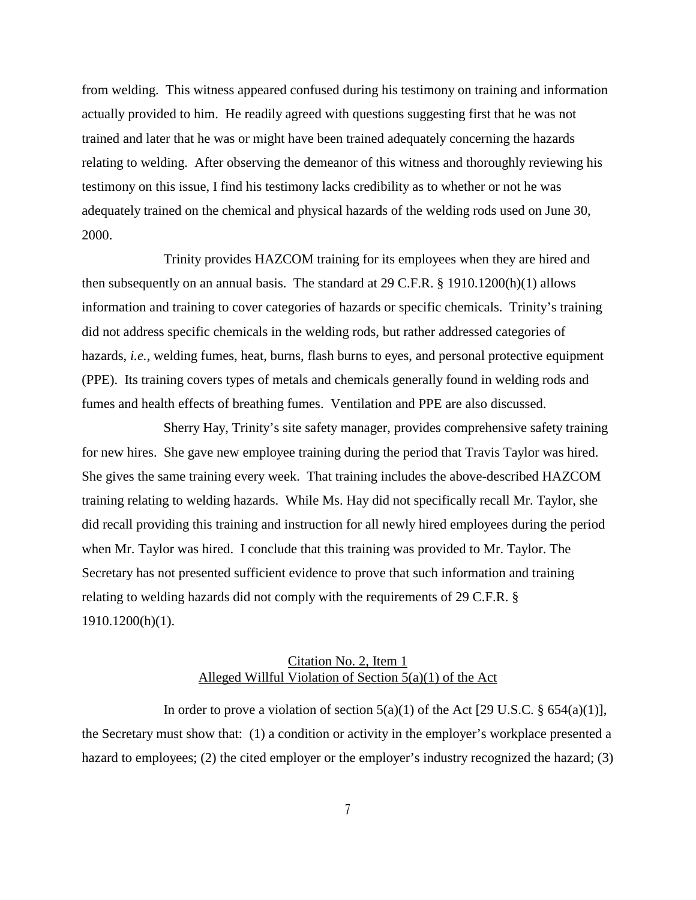from welding. This witness appeared confused during his testimony on training and information actually provided to him. He readily agreed with questions suggesting first that he was not trained and later that he was or might have been trained adequately concerning the hazards relating to welding. After observing the demeanor of this witness and thoroughly reviewing his testimony on this issue, I find his testimony lacks credibility as to whether or not he was adequately trained on the chemical and physical hazards of the welding rods used on June 30, 2000.

Trinity provides HAZCOM training for its employees when they are hired and then subsequently on an annual basis. The standard at 29 C.F.R. § 1910.1200(h)(1) allows information and training to cover categories of hazards or specific chemicals. Trinity's training did not address specific chemicals in the welding rods, but rather addressed categories of hazards, *i.e.,* welding fumes, heat, burns, flash burns to eyes, and personal protective equipment (PPE). Its training covers types of metals and chemicals generally found in welding rods and fumes and health effects of breathing fumes. Ventilation and PPE are also discussed.

Sherry Hay, Trinity's site safety manager, provides comprehensive safety training for new hires. She gave new employee training during the period that Travis Taylor was hired. She gives the same training every week. That training includes the above-described HAZCOM training relating to welding hazards. While Ms. Hay did not specifically recall Mr. Taylor, she did recall providing this training and instruction for all newly hired employees during the period when Mr. Taylor was hired. I conclude that this training was provided to Mr. Taylor. The Secretary has not presented sufficient evidence to prove that such information and training relating to welding hazards did not comply with the requirements of 29 C.F.R. § 1910.1200(h)(1).

# Citation No. 2, Item 1 Alleged Willful Violation of Section 5(a)(1) of the Act

In order to prove a violation of section  $5(a)(1)$  of the Act [29 U.S.C. §  $654(a)(1)$ ], the Secretary must show that: (1) a condition or activity in the employer's workplace presented a hazard to employees; (2) the cited employer or the employer's industry recognized the hazard; (3)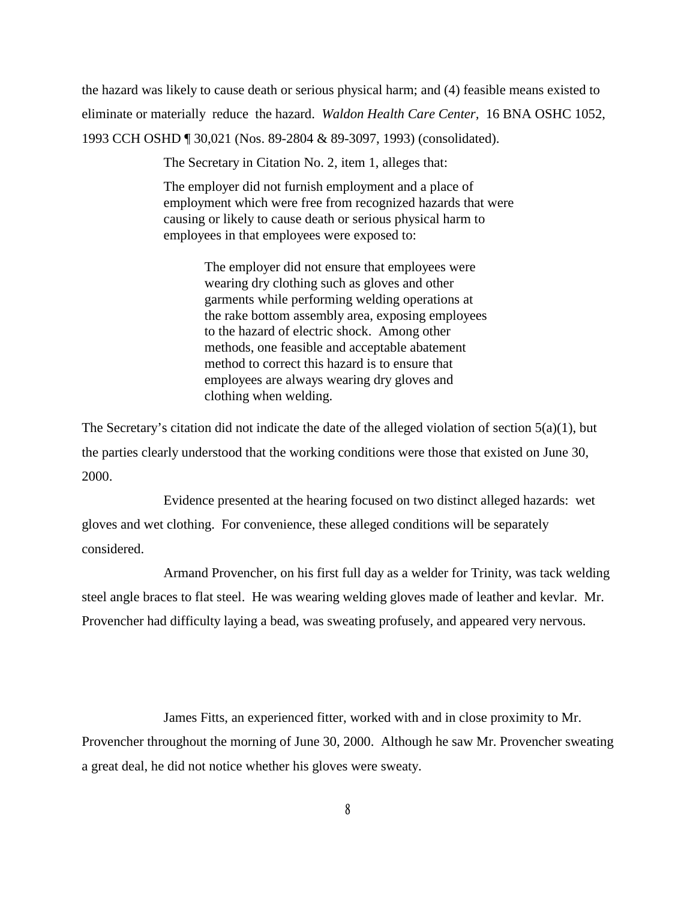the hazard was likely to cause death or serious physical harm; and (4) feasible means existed to eliminate or materially reduce the hazard. *Waldon Health Care Center,* 16 BNA OSHC 1052, 1993 CCH OSHD ¶ 30,021 (Nos. 89-2804 & 89-3097, 1993) (consolidated).

The Secretary in Citation No. 2, item 1, alleges that:

The employer did not furnish employment and a place of employment which were free from recognized hazards that were causing or likely to cause death or serious physical harm to employees in that employees were exposed to:

> The employer did not ensure that employees were wearing dry clothing such as gloves and other garments while performing welding operations at the rake bottom assembly area, exposing employees to the hazard of electric shock. Among other methods, one feasible and acceptable abatement method to correct this hazard is to ensure that employees are always wearing dry gloves and clothing when welding.

The Secretary's citation did not indicate the date of the alleged violation of section 5(a)(1), but the parties clearly understood that the working conditions were those that existed on June 30, 2000.

Evidence presented at the hearing focused on two distinct alleged hazards: wet gloves and wet clothing. For convenience, these alleged conditions will be separately considered.

Armand Provencher, on his first full day as a welder for Trinity, was tack welding steel angle braces to flat steel. He was wearing welding gloves made of leather and kevlar. Mr. Provencher had difficulty laying a bead, was sweating profusely, and appeared very nervous.

James Fitts, an experienced fitter, worked with and in close proximity to Mr.

Provencher throughout the morning of June 30, 2000. Although he saw Mr. Provencher sweating a great deal, he did not notice whether his gloves were sweaty.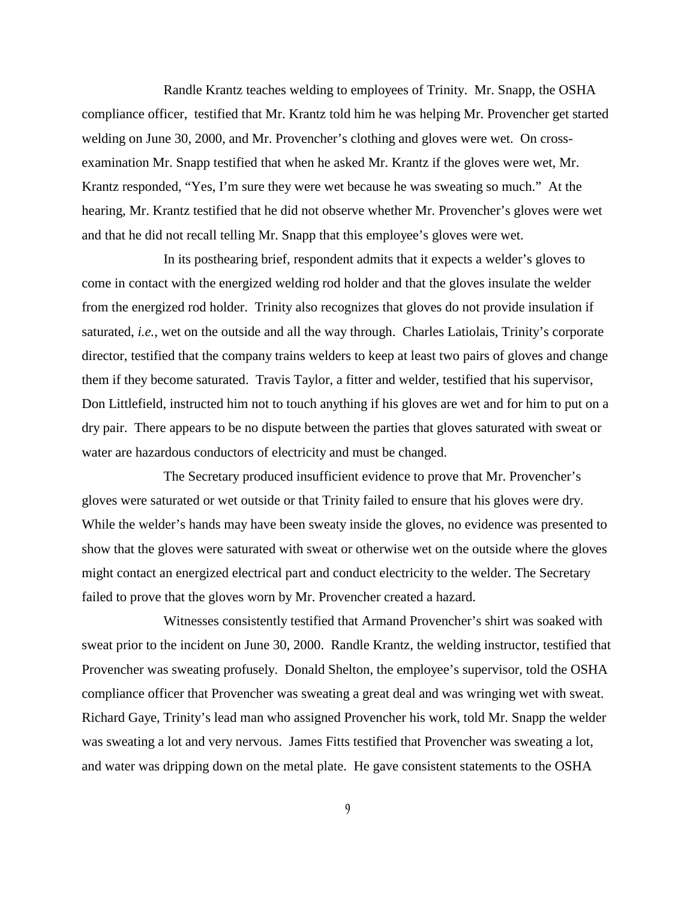Randle Krantz teaches welding to employees of Trinity. Mr. Snapp, the OSHA compliance officer, testified that Mr. Krantz told him he was helping Mr. Provencher get started welding on June 30, 2000, and Mr. Provencher's clothing and gloves were wet. On crossexamination Mr. Snapp testified that when he asked Mr. Krantz if the gloves were wet, Mr. Krantz responded, "Yes, I'm sure they were wet because he was sweating so much." At the hearing, Mr. Krantz testified that he did not observe whether Mr. Provencher's gloves were wet and that he did not recall telling Mr. Snapp that this employee's gloves were wet.

In its posthearing brief, respondent admits that it expects a welder's gloves to come in contact with the energized welding rod holder and that the gloves insulate the welder from the energized rod holder. Trinity also recognizes that gloves do not provide insulation if saturated, *i.e.*, wet on the outside and all the way through. Charles Latiolais, Trinity's corporate director, testified that the company trains welders to keep at least two pairs of gloves and change them if they become saturated. Travis Taylor, a fitter and welder, testified that his supervisor, Don Littlefield, instructed him not to touch anything if his gloves are wet and for him to put on a dry pair. There appears to be no dispute between the parties that gloves saturated with sweat or water are hazardous conductors of electricity and must be changed.

The Secretary produced insufficient evidence to prove that Mr. Provencher's gloves were saturated or wet outside or that Trinity failed to ensure that his gloves were dry. While the welder's hands may have been sweaty inside the gloves, no evidence was presented to show that the gloves were saturated with sweat or otherwise wet on the outside where the gloves might contact an energized electrical part and conduct electricity to the welder. The Secretary failed to prove that the gloves worn by Mr. Provencher created a hazard.

Witnesses consistently testified that Armand Provencher's shirt was soaked with sweat prior to the incident on June 30, 2000. Randle Krantz, the welding instructor, testified that Provencher was sweating profusely. Donald Shelton, the employee's supervisor, told the OSHA compliance officer that Provencher was sweating a great deal and was wringing wet with sweat. Richard Gaye, Trinity's lead man who assigned Provencher his work, told Mr. Snapp the welder was sweating a lot and very nervous. James Fitts testified that Provencher was sweating a lot, and water was dripping down on the metal plate. He gave consistent statements to the OSHA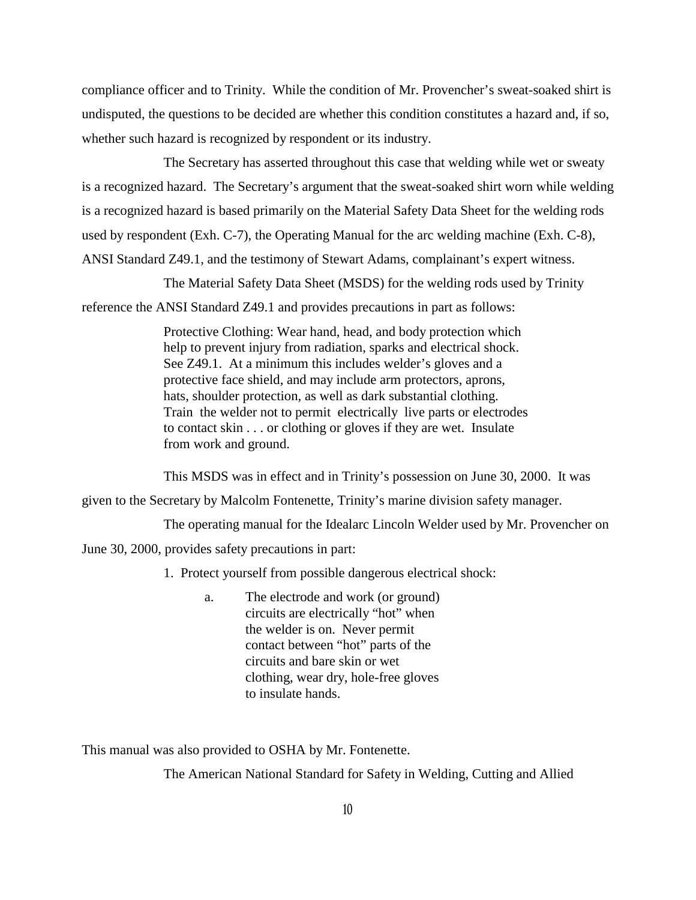compliance officer and to Trinity. While the condition of Mr. Provencher's sweat-soaked shirt is undisputed, the questions to be decided are whether this condition constitutes a hazard and, if so, whether such hazard is recognized by respondent or its industry.

The Secretary has asserted throughout this case that welding while wet or sweaty is a recognized hazard. The Secretary's argument that the sweat-soaked shirt worn while welding is a recognized hazard is based primarily on the Material Safety Data Sheet for the welding rods used by respondent (Exh. C-7), the Operating Manual for the arc welding machine (Exh. C-8), ANSI Standard Z49.1, and the testimony of Stewart Adams, complainant's expert witness.

The Material Safety Data Sheet (MSDS) for the welding rods used by Trinity

reference the ANSI Standard Z49.1 and provides precautions in part as follows:

Protective Clothing: Wear hand, head, and body protection which help to prevent injury from radiation, sparks and electrical shock. See Z49.1. At a minimum this includes welder's gloves and a protective face shield, and may include arm protectors, aprons, hats, shoulder protection, as well as dark substantial clothing. Train the welder not to permit electrically live parts or electrodes to contact skin . . . or clothing or gloves if they are wet. Insulate from work and ground.

This MSDS was in effect and in Trinity's possession on June 30, 2000. It was

given to the Secretary by Malcolm Fontenette, Trinity's marine division safety manager.

The operating manual for the Idealarc Lincoln Welder used by Mr. Provencher on

June 30, 2000, provides safety precautions in part:

1. Protect yourself from possible dangerous electrical shock:

a. The electrode and work (or ground) circuits are electrically "hot" when the welder is on. Never permit contact between "hot" parts of the circuits and bare skin or wet clothing, wear dry, hole-free gloves to insulate hands.

This manual was also provided to OSHA by Mr. Fontenette.

The American National Standard for Safety in Welding, Cutting and Allied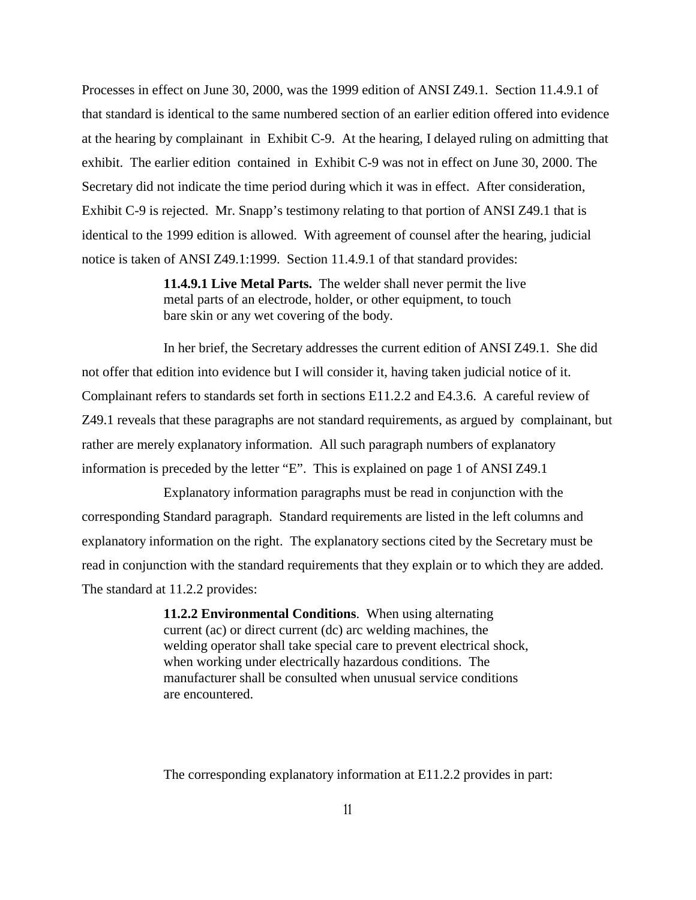Processes in effect on June 30, 2000, was the 1999 edition of ANSI Z49.1. Section 11.4.9.1 of that standard is identical to the same numbered section of an earlier edition offered into evidence at the hearing by complainant in Exhibit C-9. At the hearing, I delayed ruling on admitting that exhibit. The earlier edition contained in Exhibit C-9 was not in effect on June 30, 2000. The Secretary did not indicate the time period during which it was in effect. After consideration, Exhibit C-9 is rejected. Mr. Snapp's testimony relating to that portion of ANSI Z49.1 that is identical to the 1999 edition is allowed. With agreement of counsel after the hearing, judicial notice is taken of ANSI Z49.1:1999. Section 11.4.9.1 of that standard provides:

> **11.4.9.1 Live Metal Parts.** The welder shall never permit the live metal parts of an electrode, holder, or other equipment, to touch bare skin or any wet covering of the body.

In her brief, the Secretary addresses the current edition of ANSI Z49.1. She did not offer that edition into evidence but I will consider it, having taken judicial notice of it. Complainant refers to standards set forth in sections E11.2.2 and E4.3.6. A careful review of Z49.1 reveals that these paragraphs are not standard requirements, as argued by complainant, but rather are merely explanatory information. All such paragraph numbers of explanatory information is preceded by the letter "E". This is explained on page 1 of ANSI Z49.1

Explanatory information paragraphs must be read in conjunction with the corresponding Standard paragraph. Standard requirements are listed in the left columns and explanatory information on the right. The explanatory sections cited by the Secretary must be read in conjunction with the standard requirements that they explain or to which they are added. The standard at 11.2.2 provides:

> **11.2.2 Environmental Conditions**. When using alternating current (ac) or direct current (dc) arc welding machines, the welding operator shall take special care to prevent electrical shock, when working under electrically hazardous conditions. The manufacturer shall be consulted when unusual service conditions are encountered.

The corresponding explanatory information at E11.2.2 provides in part: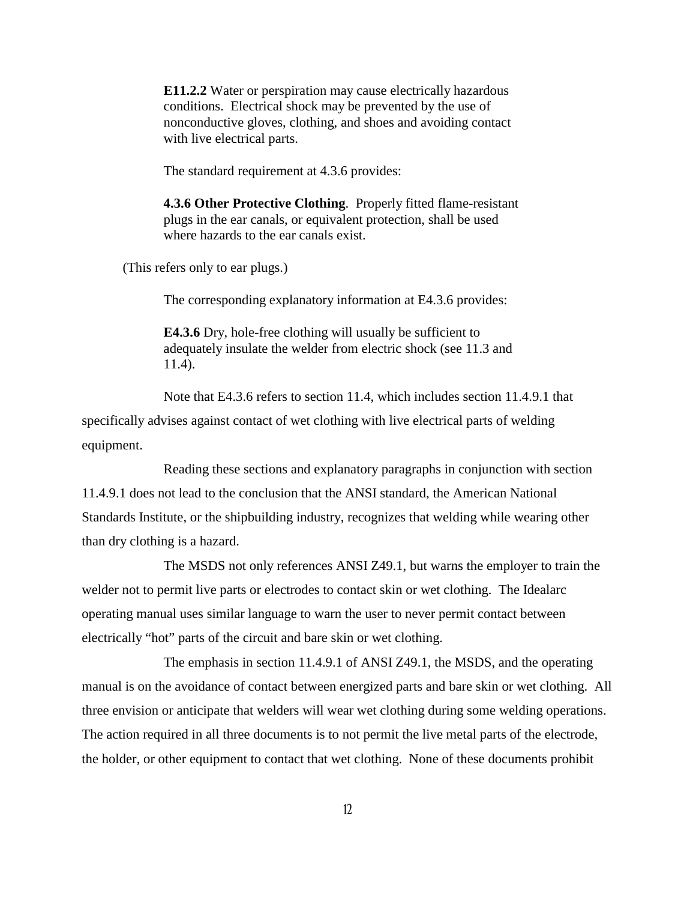**E11.2.2** Water or perspiration may cause electrically hazardous conditions. Electrical shock may be prevented by the use of nonconductive gloves, clothing, and shoes and avoiding contact with live electrical parts.

The standard requirement at 4.3.6 provides:

**4.3.6 Other Protective Clothing**. Properly fitted flame-resistant plugs in the ear canals, or equivalent protection, shall be used where hazards to the ear canals exist.

(This refers only to ear plugs.)

The corresponding explanatory information at E4.3.6 provides:

**E4.3.6** Dry, hole-free clothing will usually be sufficient to adequately insulate the welder from electric shock (see 11.3 and 11.4).

Note that E4.3.6 refers to section 11.4, which includes section 11.4.9.1 that specifically advises against contact of wet clothing with live electrical parts of welding equipment.

Reading these sections and explanatory paragraphs in conjunction with section 11.4.9.1 does not lead to the conclusion that the ANSI standard, the American National Standards Institute, or the shipbuilding industry, recognizes that welding while wearing other than dry clothing is a hazard.

The MSDS not only references ANSI Z49.1, but warns the employer to train the welder not to permit live parts or electrodes to contact skin or wet clothing. The Idealarc operating manual uses similar language to warn the user to never permit contact between electrically "hot" parts of the circuit and bare skin or wet clothing.

The emphasis in section 11.4.9.1 of ANSI Z49.1, the MSDS, and the operating manual is on the avoidance of contact between energized parts and bare skin or wet clothing. All three envision or anticipate that welders will wear wet clothing during some welding operations. The action required in all three documents is to not permit the live metal parts of the electrode, the holder, or other equipment to contact that wet clothing. None of these documents prohibit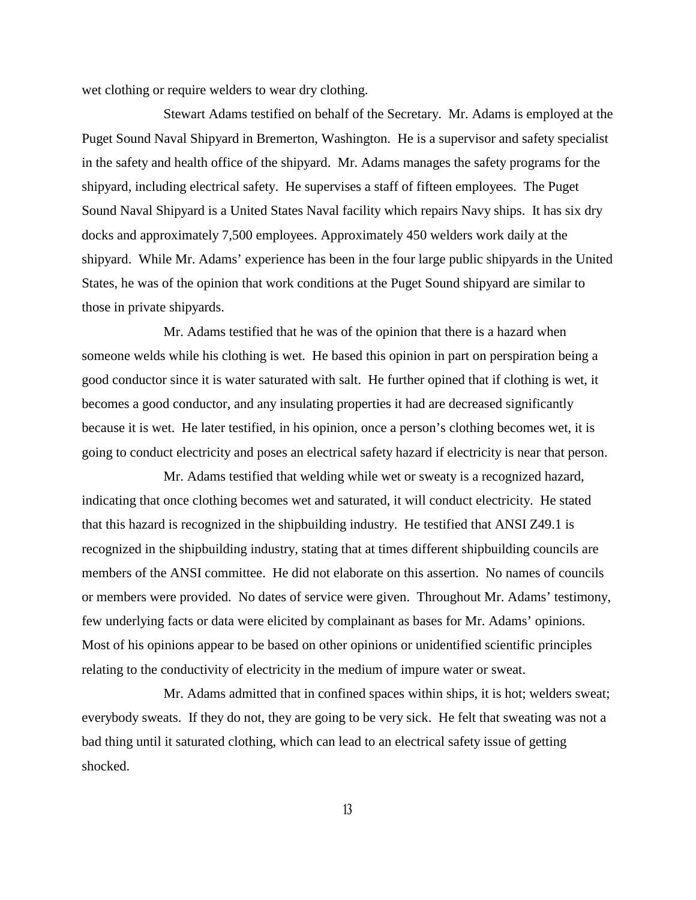wet clothing or require welders to wear dry clothing.

Stewart Adams testified on behalf of the Secretary. Mr. Adams is employed at the Puget Sound Naval Shipyard in Bremerton, Washington. He is a supervisor and safety specialist in the safety and health office of the shipyard. Mr. Adams manages the safety programs for the shipyard, including electrical safety. He supervises a staff of fifteen employees. The Puget Sound Naval Shipyard is a United States Naval facility which repairs Navy ships. It has six dry docks and approximately 7,500 employees. Approximately 450 welders work daily at the shipyard. While Mr. Adams' experience has been in the four large public shipyards in the United States, he was of the opinion that work conditions at the Puget Sound shipyard are similar to those in private shipyards.

Mr. Adams testified that he was of the opinion that there is a hazard when someone welds while his clothing is wet. He based this opinion in part on perspiration being a good conductor since it is water saturated with salt. He further opined that if clothing is wet, it becomes a good conductor, and any insulating properties it had are decreased significantly because it is wet. He later testified, in his opinion, once a person's clothing becomes wet, it is going to conduct electricity and poses an electrical safety hazard if electricity is near that person.

Mr. Adams testified that welding while wet or sweaty is a recognized hazard, indicating that once clothing becomes wet and saturated, it will conduct electricity. He stated that this hazard is recognized in the shipbuilding industry. He testified that ANSI Z49.1 is recognized in the shipbuilding industry, stating that at times different shipbuilding councils are members of the ANSI committee. He did not elaborate on this assertion. No names of councils or members were provided. No dates of service were given. Throughout Mr. Adams' testimony, few underlying facts or data were elicited by complainant as bases for Mr. Adams' opinions. Most of his opinions appear to be based on other opinions or unidentified scientific principles relating to the conductivity of electricity in the medium of impure water or sweat.

Mr. Adams admitted that in confined spaces within ships, it is hot; welders sweat; everybody sweats. If they do not, they are going to be very sick. He felt that sweating was not a bad thing until it saturated clothing, which can lead to an electrical safety issue of getting shocked.

**13**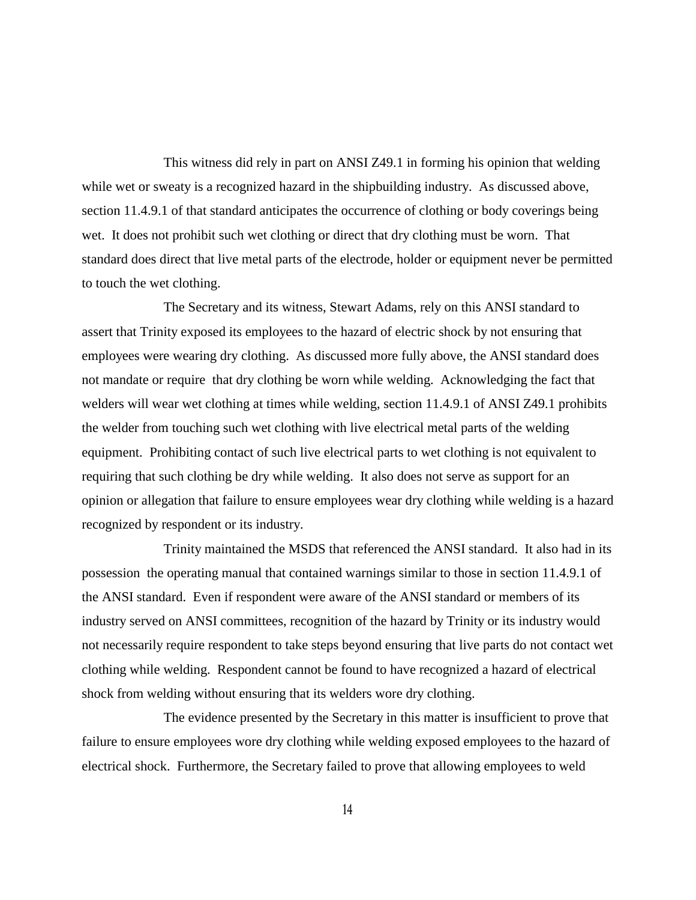This witness did rely in part on ANSI Z49.1 in forming his opinion that welding while wet or sweaty is a recognized hazard in the shipbuilding industry. As discussed above, section 11.4.9.1 of that standard anticipates the occurrence of clothing or body coverings being wet. It does not prohibit such wet clothing or direct that dry clothing must be worn. That standard does direct that live metal parts of the electrode, holder or equipment never be permitted to touch the wet clothing.

The Secretary and its witness, Stewart Adams, rely on this ANSI standard to assert that Trinity exposed its employees to the hazard of electric shock by not ensuring that employees were wearing dry clothing. As discussed more fully above, the ANSI standard does not mandate or require that dry clothing be worn while welding. Acknowledging the fact that welders will wear wet clothing at times while welding, section 11.4.9.1 of ANSI Z49.1 prohibits the welder from touching such wet clothing with live electrical metal parts of the welding equipment. Prohibiting contact of such live electrical parts to wet clothing is not equivalent to requiring that such clothing be dry while welding. It also does not serve as support for an opinion or allegation that failure to ensure employees wear dry clothing while welding is a hazard recognized by respondent or its industry.

Trinity maintained the MSDS that referenced the ANSI standard. It also had in its possession the operating manual that contained warnings similar to those in section 11.4.9.1 of the ANSI standard. Even if respondent were aware of the ANSI standard or members of its industry served on ANSI committees, recognition of the hazard by Trinity or its industry would not necessarily require respondent to take steps beyond ensuring that live parts do not contact wet clothing while welding. Respondent cannot be found to have recognized a hazard of electrical shock from welding without ensuring that its welders wore dry clothing.

The evidence presented by the Secretary in this matter is insufficient to prove that failure to ensure employees wore dry clothing while welding exposed employees to the hazard of electrical shock. Furthermore, the Secretary failed to prove that allowing employees to weld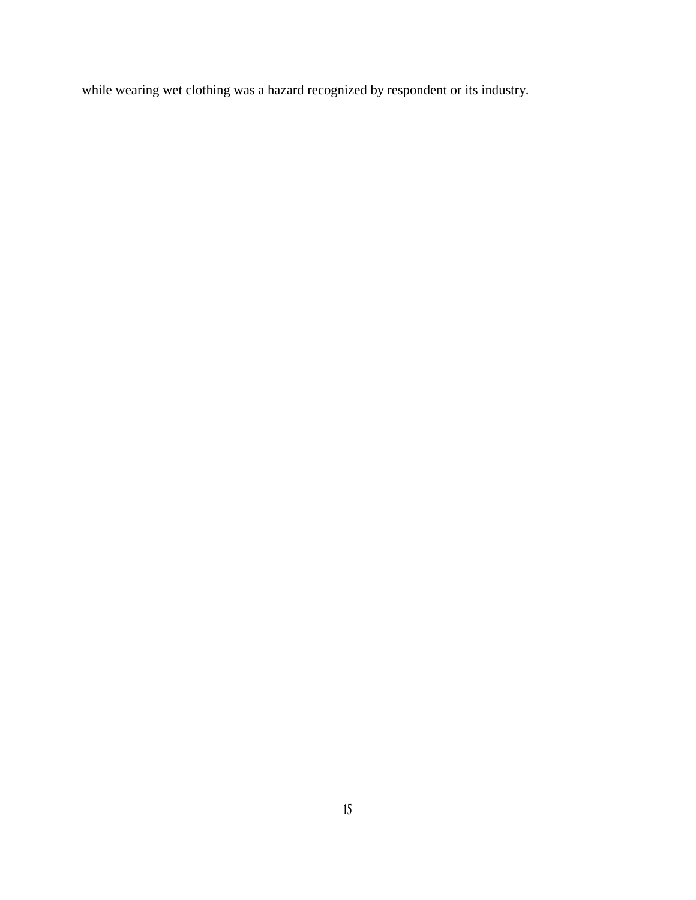while wearing wet clothing was a hazard recognized by respondent or its industry.